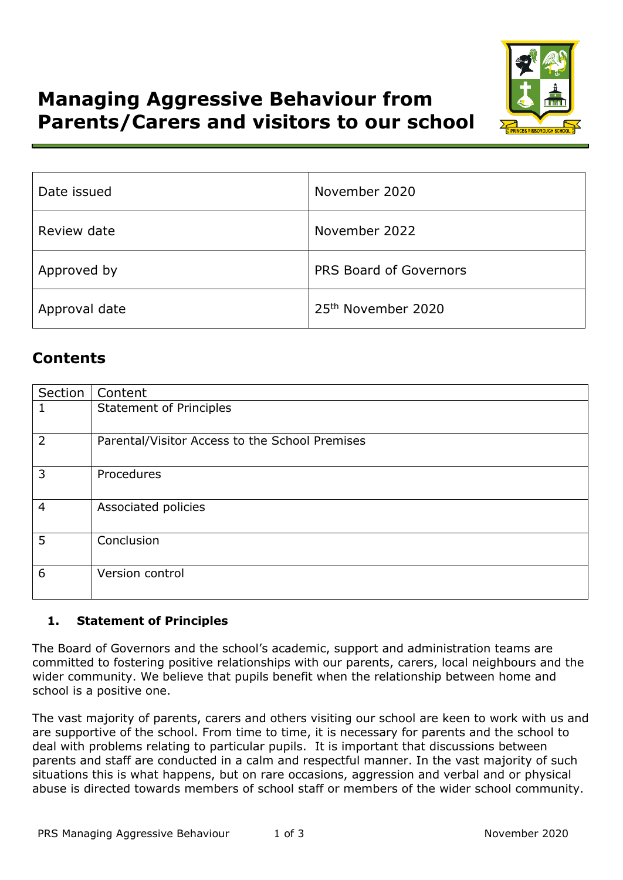



| Date issued   | November 2020                  |  |
|---------------|--------------------------------|--|
| Review date   | November 2022                  |  |
| Approved by   | <b>PRS Board of Governors</b>  |  |
| Approval date | 25 <sup>th</sup> November 2020 |  |

# **Contents**

| Section | Content                                        |
|---------|------------------------------------------------|
| 1       | <b>Statement of Principles</b>                 |
| 2       | Parental/Visitor Access to the School Premises |
| 3       | Procedures                                     |
| 4       | Associated policies                            |
| 5       | Conclusion                                     |
| 6       | Version control                                |

# **1. Statement of Principles**

The Board of Governors and the school's academic, support and administration teams are committed to fostering positive relationships with our parents, carers, local neighbours and the wider community. We believe that pupils benefit when the relationship between home and school is a positive one.

The vast majority of parents, carers and others visiting our school are keen to work with us and are supportive of the school. From time to time, it is necessary for parents and the school to deal with problems relating to particular pupils. It is important that discussions between parents and staff are conducted in a calm and respectful manner. In the vast majority of such situations this is what happens, but on rare occasions, aggression and verbal and or physical abuse is directed towards members of school staff or members of the wider school community.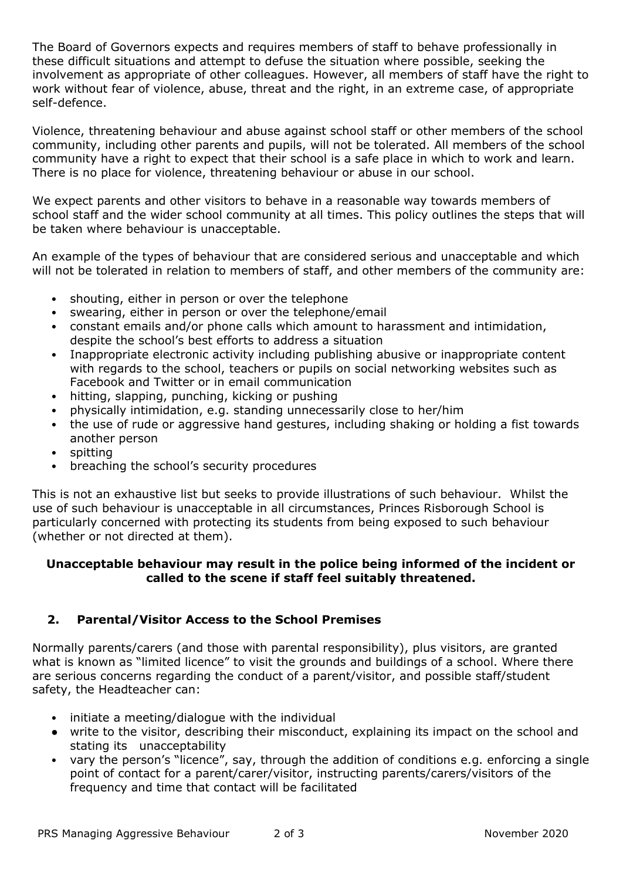The Board of Governors expects and requires members of staff to behave professionally in these difficult situations and attempt to defuse the situation where possible, seeking the involvement as appropriate of other colleagues. However, all members of staff have the right to work without fear of violence, abuse, threat and the right, in an extreme case, of appropriate self-defence.

Violence, threatening behaviour and abuse against school staff or other members of the school community, including other parents and pupils, will not be tolerated. All members of the school community have a right to expect that their school is a safe place in which to work and learn. There is no place for violence, threatening behaviour or abuse in our school.

We expect parents and other visitors to behave in a reasonable way towards members of school staff and the wider school community at all times. This policy outlines the steps that will be taken where behaviour is unacceptable.

An example of the types of behaviour that are considered serious and unacceptable and which will not be tolerated in relation to members of staff, and other members of the community are:

- shouting, either in person or over the telephone
- swearing, either in person or over the telephone/email
- constant emails and/or phone calls which amount to harassment and intimidation, despite the school's best efforts to address a situation
- Inappropriate electronic activity including publishing abusive or inappropriate content with regards to the school, teachers or pupils on social networking websites such as Facebook and Twitter or in email communication
- hitting, slapping, punching, kicking or pushing
- physically intimidation, e.g. standing unnecessarily close to her/him
- the use of rude or aggressive hand gestures, including shaking or holding a fist towards another person
- spitting
- breaching the school's security procedures

This is not an exhaustive list but seeks to provide illustrations of such behaviour. Whilst the use of such behaviour is unacceptable in all circumstances, Princes Risborough School is particularly concerned with protecting its students from being exposed to such behaviour (whether or not directed at them).

#### **Unacceptable behaviour may result in the police being informed of the incident or called to the scene if staff feel suitably threatened.**

# **2. Parental/Visitor Access to the School Premises**

Normally parents/carers (and those with parental responsibility), plus visitors, are granted what is known as "limited licence" to visit the grounds and buildings of a school. Where there are serious concerns regarding the conduct of a parent/visitor, and possible staff/student safety, the Headteacher can:

- initiate a meeting/dialogue with the individual
- write to the visitor, describing their misconduct, explaining its impact on the school and stating its unacceptability
- vary the person's "licence", say, through the addition of conditions e.g. enforcing a single point of contact for a parent/carer/visitor, instructing parents/carers/visitors of the frequency and time that contact will be facilitated